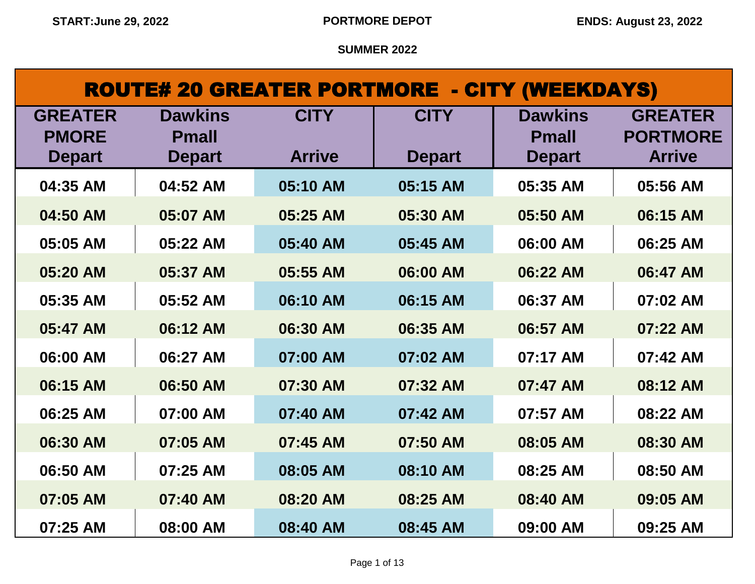# ROUTE# 20 GREATER PORTMORE - CITY (WEEKDAYS)

| <b>GREATER</b><br><b>PMORE</b> | <b>Dawkins</b><br><b>Pmall</b> | <b>CITY</b>   | <b>CITY</b>   | <b>Dawkins</b><br><b>Pmall</b> | <b>GREATER</b><br><b>PORTMORE</b> |
|--------------------------------|--------------------------------|---------------|---------------|--------------------------------|-----------------------------------|
| <b>Depart</b>                  | <b>Depart</b>                  | <b>Arrive</b> | <b>Depart</b> | <b>Depart</b>                  | <b>Arrive</b>                     |
| 04:35 AM                       | 04:52 AM                       | 05:10 AM      | 05:15 AM      | 05:35 AM                       | 05:56 AM                          |
| 04:50 AM                       | 05:07 AM                       | 05:25 AM      | 05:30 AM      | 05:50 AM                       | 06:15 AM                          |
| 05:05 AM                       | 05:22 AM                       | 05:40 AM      | 05:45 AM      | 06:00 AM                       | 06:25 AM                          |
| 05:20 AM                       | 05:37 AM                       | 05:55 AM      | 06:00 AM      | 06:22 AM                       | 06:47 AM                          |
| 05:35 AM                       | 05:52 AM                       | 06:10 AM      | 06:15 AM      | 06:37 AM                       | 07:02 AM                          |
| 05:47 AM                       | 06:12 AM                       | 06:30 AM      | 06:35 AM      | 06:57 AM                       | 07:22 AM                          |
| 06:00 AM                       | 06:27 AM                       | 07:00 AM      | 07:02 AM      | 07:17 AM                       | 07:42 AM                          |
| 06:15 AM                       | 06:50 AM                       | 07:30 AM      | 07:32 AM      | 07:47 AM                       | 08:12 AM                          |
| 06:25 AM                       | 07:00 AM                       | 07:40 AM      | 07:42 AM      | 07:57 AM                       | 08:22 AM                          |
| 06:30 AM                       | 07:05 AM                       | 07:45 AM      | 07:50 AM      | 08:05 AM                       | 08:30 AM                          |
| 06:50 AM                       | 07:25 AM                       | 08:05 AM      | 08:10 AM      | 08:25 AM                       | 08:50 AM                          |
| 07:05 AM                       | 07:40 AM                       | 08:20 AM      | 08:25 AM      | 08:40 AM                       | 09:05 AM                          |
| 07:25 AM                       | 08:00 AM                       | 08:40 AM      | 08:45 AM      | 09:00 AM                       | 09:25 AM                          |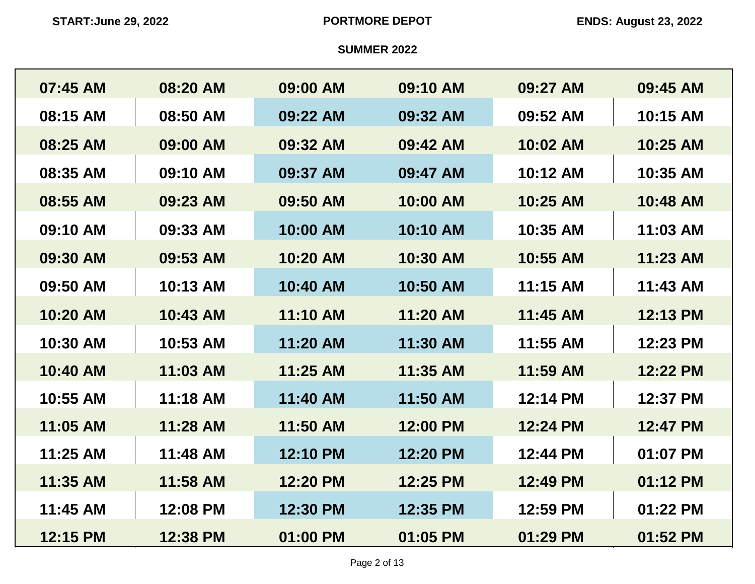| 07:45 AM | 08:20 AM | 09:00 AM | 09:10 AM | 09:27 AM | 09:45 AM |
|----------|----------|----------|----------|----------|----------|
| 08:15 AM | 08:50 AM | 09:22 AM | 09:32 AM | 09:52 AM | 10:15 AM |
| 08:25 AM | 09:00 AM | 09:32 AM | 09:42 AM | 10:02 AM | 10:25 AM |
| 08:35 AM | 09:10 AM | 09:37 AM | 09:47 AM | 10:12 AM | 10:35 AM |
| 08:55 AM | 09:23 AM | 09:50 AM | 10:00 AM | 10:25 AM | 10:48 AM |
| 09:10 AM | 09:33 AM | 10:00 AM | 10:10 AM | 10:35 AM | 11:03 AM |
| 09:30 AM | 09:53 AM | 10:20 AM | 10:30 AM | 10:55 AM | 11:23 AM |
| 09:50 AM | 10:13 AM | 10:40 AM | 10:50 AM | 11:15 AM | 11:43 AM |
| 10:20 AM | 10:43 AM | 11:10 AM | 11:20 AM | 11:45 AM | 12:13 PM |
| 10:30 AM | 10:53 AM | 11:20 AM | 11:30 AM | 11:55 AM | 12:23 PM |
| 10:40 AM | 11:03 AM | 11:25 AM | 11:35 AM | 11:59 AM | 12:22 PM |
| 10:55 AM | 11:18 AM | 11:40 AM | 11:50 AM | 12:14 PM | 12:37 PM |
| 11:05 AM | 11:28 AM | 11:50 AM | 12:00 PM | 12:24 PM | 12:47 PM |
| 11:25 AM | 11:48 AM | 12:10 PM | 12:20 PM | 12:44 PM | 01:07 PM |
| 11:35 AM | 11:58 AM | 12:20 PM | 12:25 PM | 12:49 PM | 01:12 PM |
| 11:45 AM | 12:08 PM | 12:30 PM | 12:35 PM | 12:59 PM | 01:22 PM |
| 12:15 PM | 12:38 PM | 01:00 PM | 01:05 PM | 01:29 PM | 01:52 PM |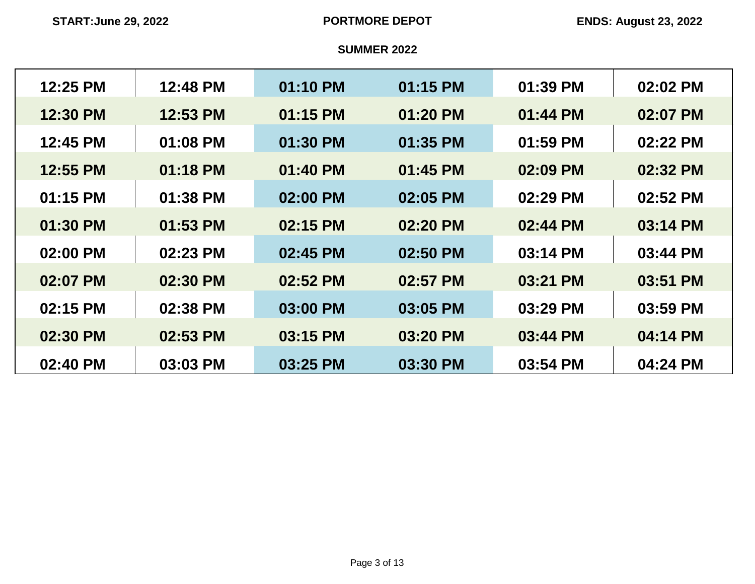| 12:25 PM | 12:48 PM | 01:10 PM | 01:15 PM | 01:39 PM | 02:02 PM |
|----------|----------|----------|----------|----------|----------|
| 12:30 PM | 12:53 PM | 01:15 PM | 01:20 PM | 01:44 PM | 02:07 PM |
| 12:45 PM | 01:08 PM | 01:30 PM | 01:35 PM | 01:59 PM | 02:22 PM |
| 12:55 PM | 01:18 PM | 01:40 PM | 01:45 PM | 02:09 PM | 02:32 PM |
| 01:15 PM | 01:38 PM | 02:00 PM | 02:05 PM | 02:29 PM | 02:52 PM |
| 01:30 PM | 01:53 PM | 02:15 PM | 02:20 PM | 02:44 PM | 03:14 PM |
| 02:00 PM | 02:23 PM | 02:45 PM | 02:50 PM | 03:14 PM | 03:44 PM |
| 02:07 PM | 02:30 PM | 02:52 PM | 02:57 PM | 03:21 PM | 03:51 PM |
| 02:15 PM | 02:38 PM | 03:00 PM | 03:05 PM | 03:29 PM | 03:59 PM |
| 02:30 PM | 02:53 PM | 03:15 PM | 03:20 PM | 03:44 PM | 04:14 PM |
| 02:40 PM | 03:03 PM | 03:25 PM | 03:30 PM | 03:54 PM | 04:24 PM |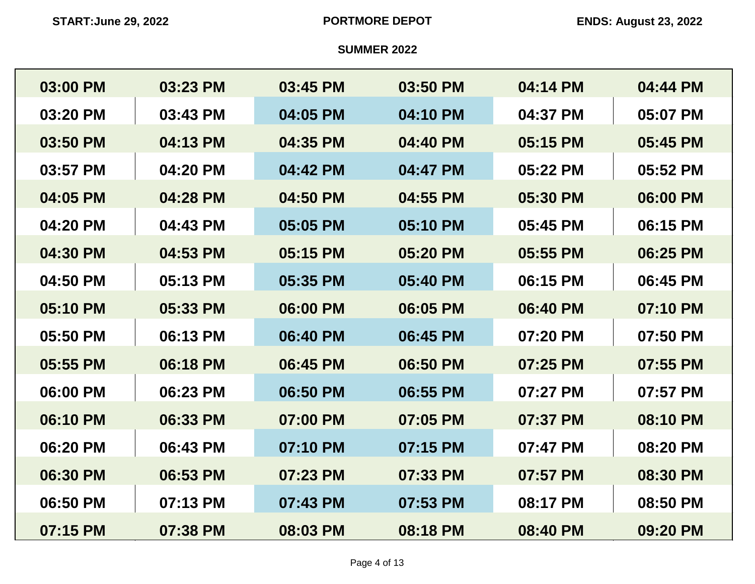| 03:00 PM | 03:23 PM | 03:45 PM | 03:50 PM | 04:14 PM | 04:44 PM |
|----------|----------|----------|----------|----------|----------|
| 03:20 PM | 03:43 PM | 04:05 PM | 04:10 PM | 04:37 PM | 05:07 PM |
| 03:50 PM | 04:13 PM | 04:35 PM | 04:40 PM | 05:15 PM | 05:45 PM |
| 03:57 PM | 04:20 PM | 04:42 PM | 04:47 PM | 05:22 PM | 05:52 PM |
| 04:05 PM | 04:28 PM | 04:50 PM | 04:55 PM | 05:30 PM | 06:00 PM |
| 04:20 PM | 04:43 PM | 05:05 PM | 05:10 PM | 05:45 PM | 06:15 PM |
| 04:30 PM | 04:53 PM | 05:15 PM | 05:20 PM | 05:55 PM | 06:25 PM |
| 04:50 PM | 05:13 PM | 05:35 PM | 05:40 PM | 06:15 PM | 06:45 PM |
| 05:10 PM | 05:33 PM | 06:00 PM | 06:05 PM | 06:40 PM | 07:10 PM |
| 05:50 PM | 06:13 PM | 06:40 PM | 06:45 PM | 07:20 PM | 07:50 PM |
| 05:55 PM | 06:18 PM | 06:45 PM | 06:50 PM | 07:25 PM | 07:55 PM |
| 06:00 PM | 06:23 PM | 06:50 PM | 06:55 PM | 07:27 PM | 07:57 PM |
| 06:10 PM | 06:33 PM | 07:00 PM | 07:05 PM | 07:37 PM | 08:10 PM |
| 06:20 PM | 06:43 PM | 07:10 PM | 07:15 PM | 07:47 PM | 08:20 PM |
| 06:30 PM | 06:53 PM | 07:23 PM | 07:33 PM | 07:57 PM | 08:30 PM |
| 06:50 PM | 07:13 PM | 07:43 PM | 07:53 PM | 08:17 PM | 08:50 PM |
| 07:15 PM | 07:38 PM | 08:03 PM | 08:18 PM | 08:40 PM | 09:20 PM |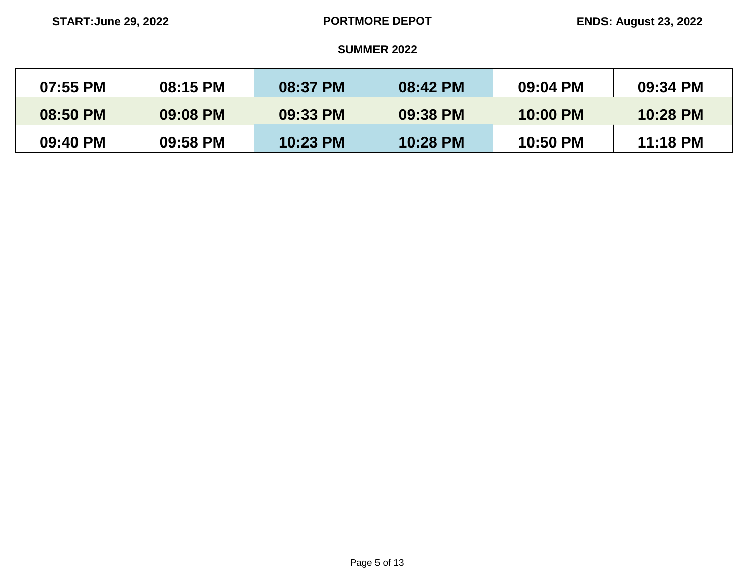| 07:55 PM | 08:15 PM | <b>08:37 PM</b> | 08:42 PM | 09:04 PM | 09:34 PM |
|----------|----------|-----------------|----------|----------|----------|
| 08:50 PM | 09:08 PM | 09:33 PM        | 09:38 PM | 10:00 PM | 10:28 PM |
| 09:40 PM | 09:58 PM | 10:23 PM        | 10:28 PM | 10:50 PM | 11:18 PM |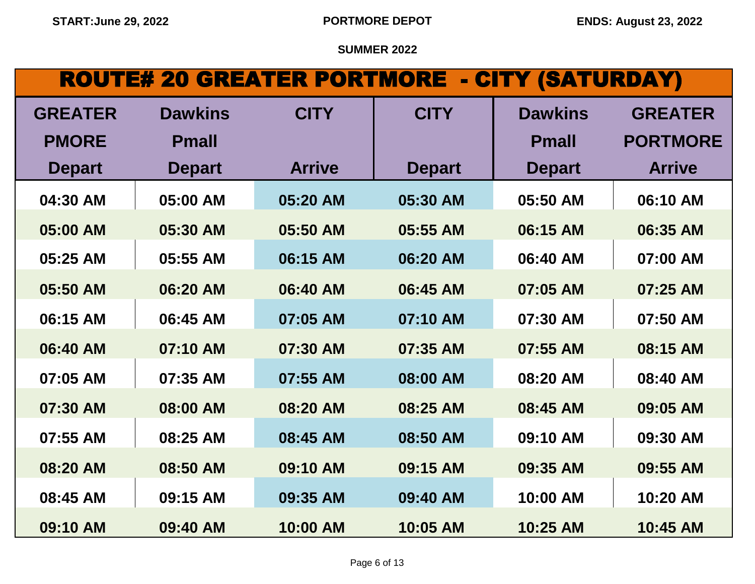# ROUTE# 20 GREATER PORTMORE - CITY (SATURDAY)

| <b>GREATER</b> | <b>Dawkins</b> | <b>CITY</b>   | <b>CITY</b>   | <b>Dawkins</b> | <b>GREATER</b>  |
|----------------|----------------|---------------|---------------|----------------|-----------------|
| <b>PMORE</b>   | <b>Pmall</b>   |               |               | <b>Pmall</b>   | <b>PORTMORE</b> |
| <b>Depart</b>  | <b>Depart</b>  | <b>Arrive</b> | <b>Depart</b> | <b>Depart</b>  | <b>Arrive</b>   |
| 04:30 AM       | 05:00 AM       | 05:20 AM      | 05:30 AM      | 05:50 AM       | 06:10 AM        |
| 05:00 AM       | 05:30 AM       | 05:50 AM      | 05:55 AM      | 06:15 AM       | 06:35 AM        |
| 05:25 AM       | 05:55 AM       | 06:15 AM      | 06:20 AM      | 06:40 AM       | 07:00 AM        |
| 05:50 AM       | 06:20 AM       | 06:40 AM      | 06:45 AM      | 07:05 AM       | 07:25 AM        |
| 06:15 AM       | 06:45 AM       | 07:05 AM      | 07:10 AM      | 07:30 AM       | 07:50 AM        |
| 06:40 AM       | 07:10 AM       | 07:30 AM      | 07:35 AM      | 07:55 AM       | 08:15 AM        |
| 07:05 AM       | 07:35 AM       | 07:55 AM      | 08:00 AM      | 08:20 AM       | 08:40 AM        |
| 07:30 AM       | 08:00 AM       | 08:20 AM      | 08:25 AM      | 08:45 AM       | 09:05 AM        |
| 07:55 AM       | 08:25 AM       | 08:45 AM      | 08:50 AM      | 09:10 AM       | 09:30 AM        |
| 08:20 AM       | 08:50 AM       | 09:10 AM      | 09:15 AM      | 09:35 AM       | 09:55 AM        |
| 08:45 AM       | 09:15 AM       | 09:35 AM      | 09:40 AM      | 10:00 AM       | 10:20 AM        |
| 09:10 AM       | 09:40 AM       | 10:00 AM      | 10:05 AM      | 10:25 AM       | 10:45 AM        |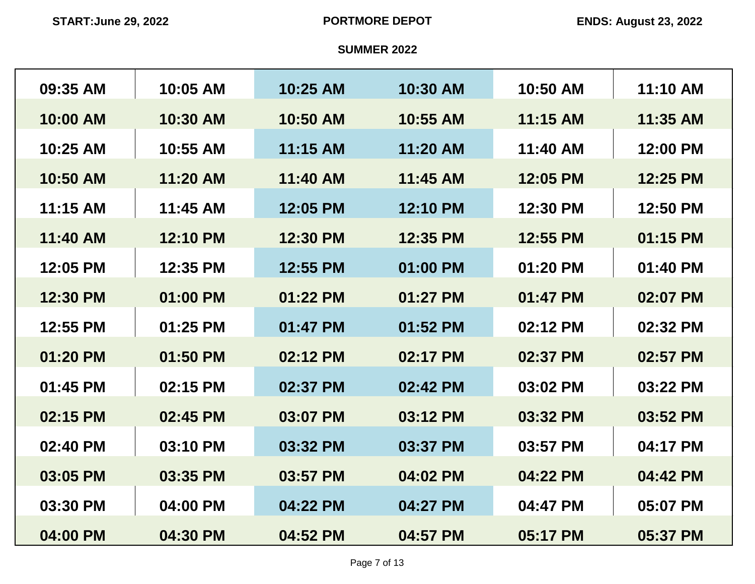| 09:35 AM | 10:05 AM | 10:25 AM | 10:30 AM | 10:50 AM | 11:10 AM |
|----------|----------|----------|----------|----------|----------|
| 10:00 AM | 10:30 AM | 10:50 AM | 10:55 AM | 11:15 AM | 11:35 AM |
| 10:25 AM | 10:55 AM | 11:15 AM | 11:20 AM | 11:40 AM | 12:00 PM |
| 10:50 AM | 11:20 AM | 11:40 AM | 11:45 AM | 12:05 PM | 12:25 PM |
| 11:15 AM | 11:45 AM | 12:05 PM | 12:10 PM | 12:30 PM | 12:50 PM |
| 11:40 AM | 12:10 PM | 12:30 PM | 12:35 PM | 12:55 PM | 01:15 PM |
| 12:05 PM | 12:35 PM | 12:55 PM | 01:00 PM | 01:20 PM | 01:40 PM |
| 12:30 PM | 01:00 PM | 01:22 PM | 01:27 PM | 01:47 PM | 02:07 PM |
| 12:55 PM | 01:25 PM | 01:47 PM | 01:52 PM | 02:12 PM | 02:32 PM |
| 01:20 PM | 01:50 PM | 02:12 PM | 02:17 PM | 02:37 PM | 02:57 PM |
| 01:45 PM | 02:15 PM | 02:37 PM | 02:42 PM | 03:02 PM | 03:22 PM |
| 02:15 PM | 02:45 PM | 03:07 PM | 03:12 PM | 03:32 PM | 03:52 PM |
| 02:40 PM | 03:10 PM | 03:32 PM | 03:37 PM | 03:57 PM | 04:17 PM |
| 03:05 PM | 03:35 PM | 03:57 PM | 04:02 PM | 04:22 PM | 04:42 PM |
| 03:30 PM | 04:00 PM | 04:22 PM | 04:27 PM | 04:47 PM | 05:07 PM |
| 04:00 PM | 04:30 PM | 04:52 PM | 04:57 PM | 05:17 PM | 05:37 PM |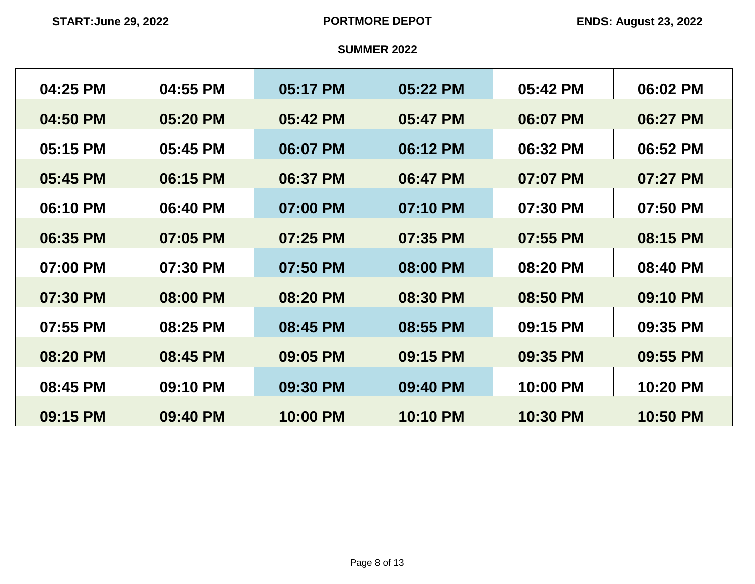| 04:25 PM | 04:55 PM | 05:17 PM | 05:22 PM | 05:42 PM | 06:02 PM |
|----------|----------|----------|----------|----------|----------|
| 04:50 PM | 05:20 PM | 05:42 PM | 05:47 PM | 06:07 PM | 06:27 PM |
| 05:15 PM | 05:45 PM | 06:07 PM | 06:12 PM | 06:32 PM | 06:52 PM |
| 05:45 PM | 06:15 PM | 06:37 PM | 06:47 PM | 07:07 PM | 07:27 PM |
| 06:10 PM | 06:40 PM | 07:00 PM | 07:10 PM | 07:30 PM | 07:50 PM |
| 06:35 PM | 07:05 PM | 07:25 PM | 07:35 PM | 07:55 PM | 08:15 PM |
| 07:00 PM | 07:30 PM | 07:50 PM | 08:00 PM | 08:20 PM | 08:40 PM |
| 07:30 PM | 08:00 PM | 08:20 PM | 08:30 PM | 08:50 PM | 09:10 PM |
| 07:55 PM | 08:25 PM | 08:45 PM | 08:55 PM | 09:15 PM | 09:35 PM |
| 08:20 PM | 08:45 PM | 09:05 PM | 09:15 PM | 09:35 PM | 09:55 PM |
| 08:45 PM | 09:10 PM | 09:30 PM | 09:40 PM | 10:00 PM | 10:20 PM |
| 09:15 PM | 09:40 PM | 10:00 PM | 10:10 PM | 10:30 PM | 10:50 PM |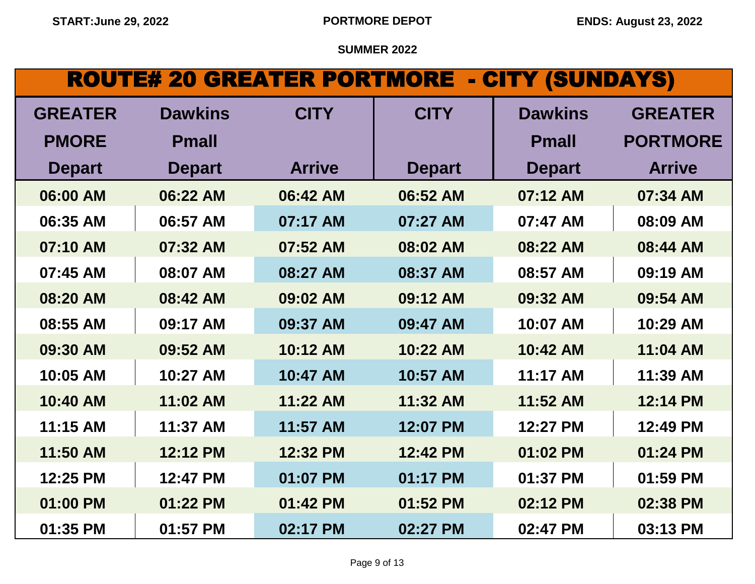# ROUTE# 20 GREATER PORTMORE - CITY (SUNDAYS)

| <b>GREATER</b> | <b>Dawkins</b> | <b>CITY</b>   | <b>CITY</b>   | <b>Dawkins</b> | <b>GREATER</b>  |
|----------------|----------------|---------------|---------------|----------------|-----------------|
| <b>PMORE</b>   | <b>Pmall</b>   |               |               | <b>Pmall</b>   | <b>PORTMORE</b> |
| <b>Depart</b>  | <b>Depart</b>  | <b>Arrive</b> | <b>Depart</b> | <b>Depart</b>  | <b>Arrive</b>   |
| 06:00 AM       | 06:22 AM       | 06:42 AM      | 06:52 AM      | 07:12 AM       | 07:34 AM        |
| 06:35 AM       | 06:57 AM       | 07:17 AM      | 07:27 AM      | 07:47 AM       | 08:09 AM        |
| 07:10 AM       | 07:32 AM       | 07:52 AM      | 08:02 AM      | 08:22 AM       | 08:44 AM        |
| 07:45 AM       | 08:07 AM       | 08:27 AM      | 08:37 AM      | 08:57 AM       | 09:19 AM        |
| 08:20 AM       | 08:42 AM       | 09:02 AM      | 09:12 AM      | 09:32 AM       | 09:54 AM        |
| 08:55 AM       | 09:17 AM       | 09:37 AM      | 09:47 AM      | 10:07 AM       | 10:29 AM        |
| 09:30 AM       | 09:52 AM       | 10:12 AM      | 10:22 AM      | 10:42 AM       | 11:04 AM        |
| 10:05 AM       | 10:27 AM       | 10:47 AM      | 10:57 AM      | 11:17 AM       | 11:39 AM        |
| 10:40 AM       | 11:02 AM       | 11:22 AM      | 11:32 AM      | 11:52 AM       | 12:14 PM        |
| 11:15 AM       | 11:37 AM       | 11:57 AM      | 12:07 PM      | 12:27 PM       | 12:49 PM        |
| 11:50 AM       | 12:12 PM       | 12:32 PM      | 12:42 PM      | 01:02 PM       | 01:24 PM        |
| 12:25 PM       | 12:47 PM       | 01:07 PM      | 01:17 PM      | 01:37 PM       | 01:59 PM        |
| 01:00 PM       | 01:22 PM       | 01:42 PM      | 01:52 PM      | 02:12 PM       | 02:38 PM        |
| 01:35 PM       | 01:57 PM       | 02:17 PM      | 02:27 PM      | 02:47 PM       | 03:13 PM        |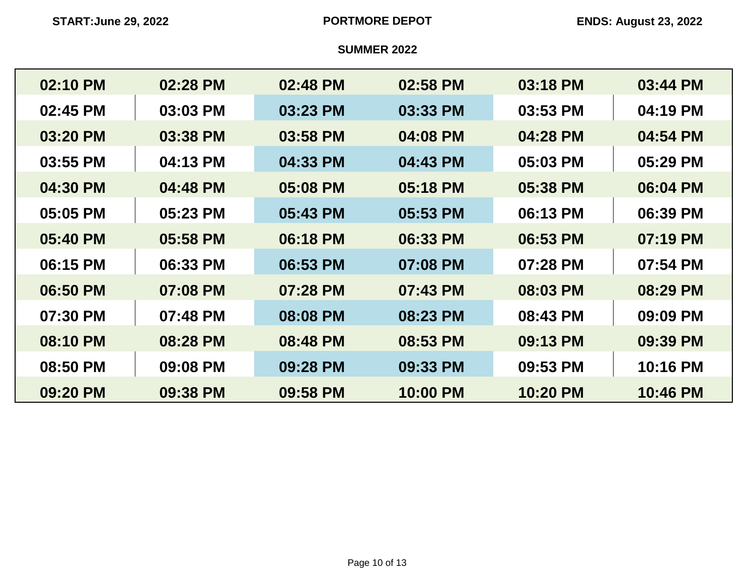| 02:10 PM | 02:28 PM | 02:48 PM | 02:58 PM | 03:18 PM | 03:44 PM |
|----------|----------|----------|----------|----------|----------|
| 02:45 PM | 03:03 PM | 03:23 PM | 03:33 PM | 03:53 PM | 04:19 PM |
| 03:20 PM | 03:38 PM | 03:58 PM | 04:08 PM | 04:28 PM | 04:54 PM |
| 03:55 PM | 04:13 PM | 04:33 PM | 04:43 PM | 05:03 PM | 05:29 PM |
| 04:30 PM | 04:48 PM | 05:08 PM | 05:18 PM | 05:38 PM | 06:04 PM |
| 05:05 PM | 05:23 PM | 05:43 PM | 05:53 PM | 06:13 PM | 06:39 PM |
| 05:40 PM | 05:58 PM | 06:18 PM | 06:33 PM | 06:53 PM | 07:19 PM |
| 06:15 PM | 06:33 PM | 06:53 PM | 07:08 PM | 07:28 PM | 07:54 PM |
| 06:50 PM | 07:08 PM | 07:28 PM | 07:43 PM | 08:03 PM | 08:29 PM |
| 07:30 PM | 07:48 PM | 08:08 PM | 08:23 PM | 08:43 PM | 09:09 PM |
| 08:10 PM | 08:28 PM | 08:48 PM | 08:53 PM | 09:13 PM | 09:39 PM |
| 08:50 PM | 09:08 PM | 09:28 PM | 09:33 PM | 09:53 PM | 10:16 PM |
| 09:20 PM | 09:38 PM | 09:58 PM | 10:00 PM | 10:20 PM | 10:46 PM |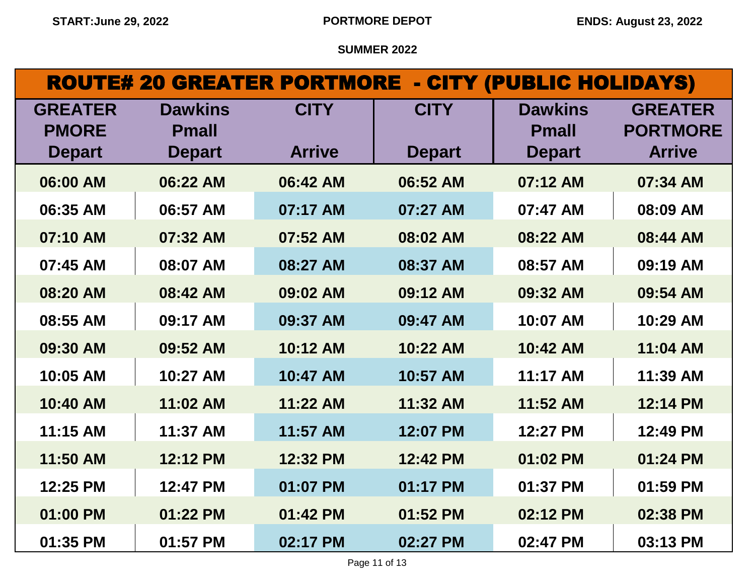|                                |                                | <b>ROUTE# 20 GREATER PORTMORE - CITY (PUBLIC HOLIDAYS)</b> |               |                                |                                   |
|--------------------------------|--------------------------------|------------------------------------------------------------|---------------|--------------------------------|-----------------------------------|
| <b>GREATER</b><br><b>PMORE</b> | <b>Dawkins</b><br><b>Pmall</b> | <b>CITY</b>                                                | <b>CITY</b>   | <b>Dawkins</b><br><b>Pmall</b> | <b>GREATER</b><br><b>PORTMORE</b> |
| <b>Depart</b>                  | <b>Depart</b>                  | <b>Arrive</b>                                              | <b>Depart</b> | <b>Depart</b>                  | <b>Arrive</b>                     |
| 06:00 AM                       | 06:22 AM                       | 06:42 AM                                                   | 06:52 AM      | 07:12 AM                       | 07:34 AM                          |
| 06:35 AM                       | 06:57 AM                       | 07:17 AM                                                   | 07:27 AM      | 07:47 AM                       | 08:09 AM                          |
| 07:10 AM                       | 07:32 AM                       | 07:52 AM                                                   | 08:02 AM      | 08:22 AM                       | 08:44 AM                          |
| 07:45 AM                       | 08:07 AM                       | 08:27 AM                                                   | 08:37 AM      | 08:57 AM                       | 09:19 AM                          |
| 08:20 AM                       | 08:42 AM                       | 09:02 AM                                                   | 09:12 AM      | 09:32 AM                       | 09:54 AM                          |
| 08:55 AM                       | 09:17 AM                       | 09:37 AM                                                   | 09:47 AM      | 10:07 AM                       | 10:29 AM                          |
| 09:30 AM                       | 09:52 AM                       | 10:12 AM                                                   | 10:22 AM      | 10:42 AM                       | 11:04 AM                          |
| 10:05 AM                       | 10:27 AM                       | 10:47 AM                                                   | 10:57 AM      | 11:17 AM                       | 11:39 AM                          |
| 10:40 AM                       | 11:02 AM                       | 11:22 AM                                                   | 11:32 AM      | 11:52 AM                       | 12:14 PM                          |
| 11:15 AM                       | 11:37 AM                       | 11:57 AM                                                   | 12:07 PM      | 12:27 PM                       | 12:49 PM                          |
| 11:50 AM                       | 12:12 PM                       | 12:32 PM                                                   | 12:42 PM      | 01:02 PM                       | 01:24 PM                          |
| 12:25 PM                       | 12:47 PM                       | 01:07 PM                                                   | 01:17 PM      | 01:37 PM                       | 01:59 PM                          |
| 01:00 PM                       | 01:22 PM                       | 01:42 PM                                                   | 01:52 PM      | 02:12 PM                       | 02:38 PM                          |
| 01:35 PM                       | 01:57 PM                       | 02:17 PM                                                   | 02:27 PM      | 02:47 PM                       | 03:13 PM                          |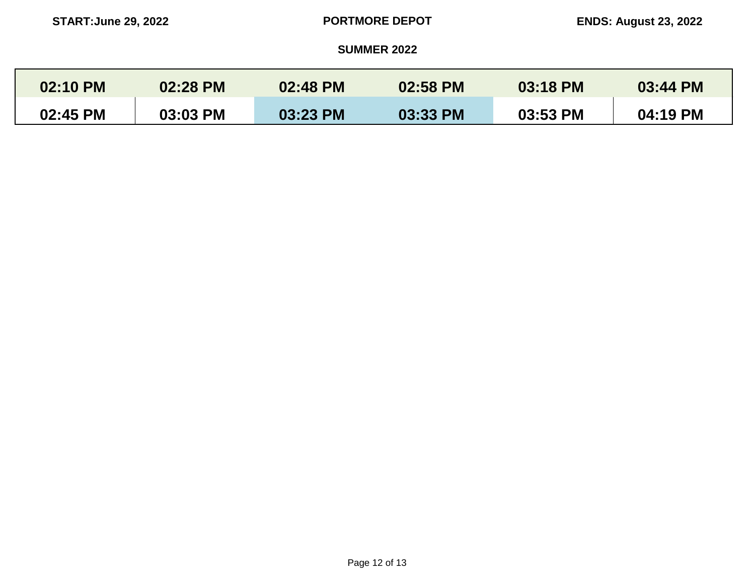| 02:10 PM | 02:28 PM | 02:48 PM | 02:58 PM | 03:18 PM | 03:44 PM |
|----------|----------|----------|----------|----------|----------|
| 02:45 PM | 03:03 PM | 03:23 PM | 03:33 PM | 03:53 PM | 04:19 PM |